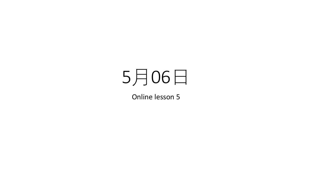## 5月06日

Online lesson 5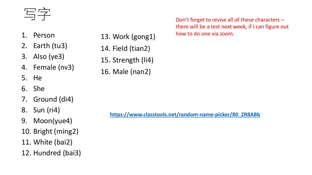## 写字

- 1. Person
- 2. Earth (tu3)
- 3. Also (ye3)
- 4. Female (nv3)
- 5. He
- 6. She
- 7. Ground (di4)
- 8. Sun (ri4)
- 9. Moon(yue4)
- 10. Bright (ming2)
- 11. White (bai2)
- 12. Hundred (bai3)
- 13. Work (gong1)
- 14. Field (tian2)
- 15. Strength (li4)
- 16. Male (nan2)

Don't forget to revise all of these characters – there will be a test next week, if I can figure out how to do one via zoom.

**[https://www.classtools.net/random-name-picker/80\\_ZR8ABb](https://www.classtools.net/random-name-picker/80_ZR8ABb)**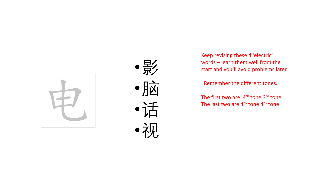



Keep revising these 4 'electric' words – learn them well from the start and you'll avoid problems later.

Remember the different tones.

The first two are  $4<sup>th</sup>$  tone  $3<sup>rd</sup>$  tone The last two are 4<sup>th</sup> tone 4<sup>th</sup> tone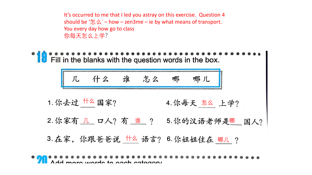It's occurred to me that I led you astray on this exercise. Question 4 should be '怎么' – how – zen3me – ie by what means of transport. You every day how go to class 你每天怎么上学?

Fill in the blanks with the question words in the box. 什么 谁 怎么 哪儿 几 哪 1. 你去过 什么国家? 4. 你每天 怎么 上学? 几 口人? 有 谁 ? 5.你的汉语老师是哪 3. 在家, 你跟爸爸说 什么 语言? 6. 你姐姐住在 哪儿 ? dd mare wards to eash sategory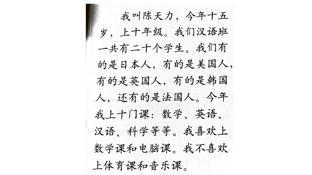我叫陈天力,今年十五 岁,上十年级。我们汉语班 一共有二十个学生。我们有 的是日本人,有的是美国人, 有的是英国人,有的是韩国 人、还有的是法国人。今年 我上十门课: 数学、英语、 汉语、科学等等。我喜欢上 数学课和电脑课。我不喜欢 上体育课和音乐课。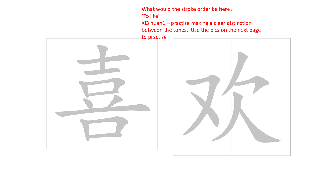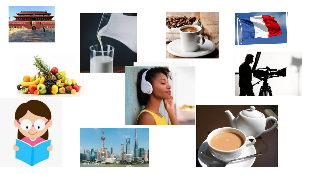